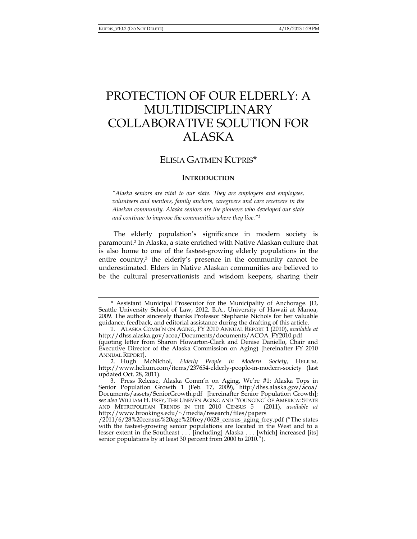# PROTECTION OF OUR ELDERLY: A MULTIDISCIPLINARY COLLABORATIVE SOLUTION FOR ALASKA

# ELISIA GATMEN KUPRIS\*

#### **INTRODUCTION**

*"Alaska seniors are vital to our state. They are employers and employees, volunteers and mentors, family anchors, caregivers and care receivers in the Alaskan community. Alaska seniors are the pioneers who developed our state and continue to improve the communities where they live."1*

The elderly population's significance in modern society is paramount.2 In Alaska, a state enriched with Native Alaskan culture that is also home to one of the fastest-growing elderly populations in the entire country,<sup>3</sup> the elderly's presence in the community cannot be underestimated. Elders in Native Alaskan communities are believed to be the cultural preservationists and wisdom keepers, sharing their

 <sup>\*</sup> Assistant Municipal Prosecutor for the Municipality of Anchorage. JD, Seattle University School of Law, 2012. B.A., University of Hawaii at Manoa, 2009. The author sincerely thanks Professor Stephanie Nichols for her valuable guidance, feedback, and editorial assistance during the drafting of this article.

 <sup>1.</sup> ALASKA COMM'N ON AGING, FY 2010 ANNUAL REPORT 1 (2010), *available at* http://dhss.alaska.gov/acoa/Documents/documents/ACOA\_FY2010.pdf (quoting letter from Sharon Howarton-Clark and Denise Daniello, Chair and Executive Director of the Alaska Commission on Aging) [hereinafter FY 2010 ANNUAL REPORT].

 <sup>2.</sup> Hugh McNichol, *Elderly People in Modern Society*, HELIUM, http://www.helium.com/items/237654-elderly-people-in-modern-society (last updated Oct. 28, 2011).

 <sup>3.</sup> Press Release, Alaska Comm'n on Aging, We're #1: Alaska Tops in Senior Population Growth 1 (Feb. 17, 2009), http:/dhss.alaska.gov/acoa/ Documents/assets/SeniorGrowth.pdf [hereinafter Senior Population Growth]; *see also* WILLIAM H. FREY, THE UNEVEN AGING AND 'YOUNGING' OF AMERICA: STATE AND METROPOLITAN TRENDS IN THE 2010 CENSUS 5 (2011), *available at*  http://www.brookings.edu/~/media/research/files/papers

<sup>/2011/6/28%20</sup>census%20age%20frey/0628\_census\_aging\_frey.pdf ("The states with the fastest-growing senior populations are located in the West and to a lesser extent in the Southeast . . . [including] Alaska . . . [which] increased [its] senior populations by at least 30 percent from 2000 to 2010.").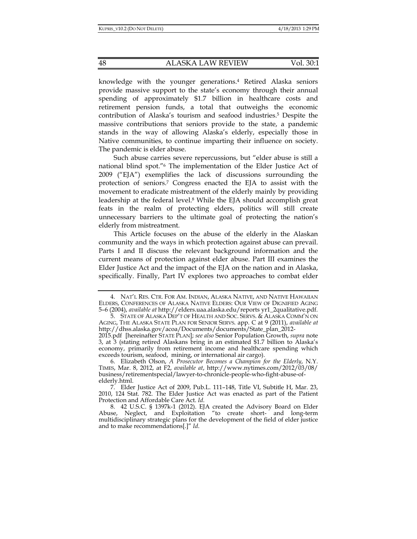knowledge with the younger generations.4 Retired Alaska seniors provide massive support to the state's economy through their annual spending of approximately \$1.7 billion in healthcare costs and retirement pension funds, a total that outweighs the economic contribution of Alaska's tourism and seafood industries.5 Despite the massive contributions that seniors provide to the state, a pandemic stands in the way of allowing Alaska's elderly, especially those in Native communities, to continue imparting their influence on society. The pandemic is elder abuse.

Such abuse carries severe repercussions, but "elder abuse is still a national blind spot."6 The implementation of the Elder Justice Act of 2009 ("EJA") exemplifies the lack of discussions surrounding the protection of seniors.7 Congress enacted the EJA to assist with the movement to eradicate mistreatment of the elderly mainly by providing leadership at the federal level.8 While the EJA should accomplish great feats in the realm of protecting elders, politics will still create unnecessary barriers to the ultimate goal of protecting the nation's elderly from mistreatment.

This Article focuses on the abuse of the elderly in the Alaskan community and the ways in which protection against abuse can prevail. Parts I and II discuss the relevant background information and the current means of protection against elder abuse. Part III examines the Elder Justice Act and the impact of the EJA on the nation and in Alaska, specifically. Finally, Part IV explores two approaches to combat elder

 <sup>4.</sup> NAT'L RES. CTR. FOR AM. INDIAN, ALASKA NATIVE, AND NATIVE HAWAIIAN ELDERS, CONFERENCES OF ALASKA NATIVE ELDERS: OUR VIEW OF DIGNIFIED AGING 5–6 (2004), *available at* http://elders.uaa.alaska.edu/reports yr1\_2qualitative.pdf.

<sup>5.</sup> STATE OF ALASKA DEP'T OF HEALTH AND SOC. SERVS. & ALASKA COMM'N ON AGING, THE ALASKA STATE PLAN FOR SENIOR SERVS. app. C at 9 (2011), *available at* http://dhss.alaska.gov/acoa/Documents/documents/State\_plan\_2012-

<sup>2015.</sup>pdf [hereinafter STATE PLAN]; *see also* Senior Population Growth, *supra* note 3, at 3 (stating retired Alaskans bring in an estimated \$1.7 billion to Alaska's economy, primarily from retirement income and healthcare spending which exceeds tourism, seafood, mining, or international air cargo).

 <sup>6.</sup> Elizabeth Olson, *A Prosecutor Becomes a Champion for the Elderly*, N.Y. TIMES, Mar. 8, 2012, at F2, *available at*, http://www.nytimes.com/2012/03/08/ business/retirementspecial/lawyer-to-chronicle-people-who-fight-abuse-ofelderly.html.

 <sup>7.</sup> Elder Justice Act of 2009, Pub.L. 111–148, Title VI, Subtitle H, Mar. 23, 2010, 124 Stat. 782. The Elder Justice Act was enacted as part of the Patient Protection and Affordable Care Act. *Id*.

 <sup>8. 42</sup> U.S.C. § 1397k-1 (2012). EJA created the Advisory Board on Elder Abuse, Neglect, and Exploitation "to create short- and long-term multidisciplinary strategic plans for the development of the field of elder justice and to make recommendations[.]" *Id*.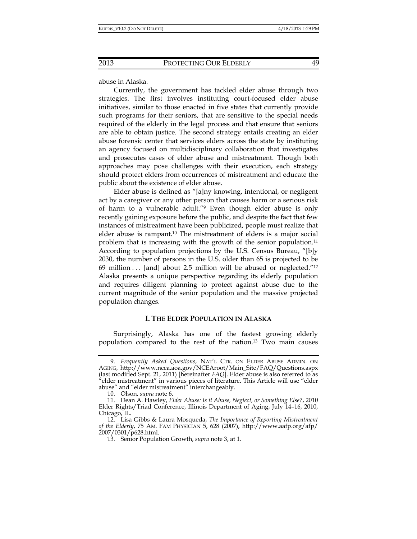abuse in Alaska.

Currently, the government has tackled elder abuse through two strategies. The first involves instituting court-focused elder abuse initiatives, similar to those enacted in five states that currently provide such programs for their seniors, that are sensitive to the special needs required of the elderly in the legal process and that ensure that seniors are able to obtain justice. The second strategy entails creating an elder abuse forensic center that services elders across the state by instituting an agency focused on multidisciplinary collaboration that investigates and prosecutes cases of elder abuse and mistreatment. Though both approaches may pose challenges with their execution, each strategy should protect elders from occurrences of mistreatment and educate the public about the existence of elder abuse.

Elder abuse is defined as "[a]ny knowing, intentional, or negligent act by a caregiver or any other person that causes harm or a serious risk of harm to a vulnerable adult."9 Even though elder abuse is only recently gaining exposure before the public, and despite the fact that few instances of mistreatment have been publicized, people must realize that elder abuse is rampant.10 The mistreatment of elders is a major social problem that is increasing with the growth of the senior population.11 According to population projections by the U.S. Census Bureau, "[b]y 2030, the number of persons in the U.S. older than 65 is projected to be 69 million . . . [and] about 2.5 million will be abused or neglected."<sup>12</sup> Alaska presents a unique perspective regarding its elderly population and requires diligent planning to protect against abuse due to the current magnitude of the senior population and the massive projected population changes.

#### **I. THE ELDER POPULATION IN ALASKA**

Surprisingly, Alaska has one of the fastest growing elderly population compared to the rest of the nation.13 Two main causes

 <sup>9.</sup> *Frequently Asked Questions*, NAT'L CTR. ON ELDER ABUSE ADMIN. ON AGING, http://www.ncea.aoa.gov/NCEAroot/Main\_Site/FAQ/Questions.aspx (last modified Sept. 21, 2011) [hereinafter *FAQ*]. Elder abuse is also referred to as "elder mistreatment" in various pieces of literature. This Article will use "elder abuse" and "elder mistreatment" interchangeably.

<sup>10.</sup> Olson, *supra* note 6.

 <sup>11.</sup> Dean A. Hawley, *Elder Abuse: Is it Abuse, Neglect, or Something Else?*, 2010 Elder Rights/Triad Conference, Illinois Department of Aging, July 14–16, 2010, Chicago, IL.

 <sup>12.</sup> Lisa Gibbs & Laura Mosqueda, *The Importance of Reporting Mistreatment of the Elderly*, 75 AM. FAM PHYSICIAN 5, 628 (2007), http://www.aafp.org/afp/ 2007/0301/p628.html.

 <sup>13.</sup> Senior Population Growth, *supra* note 3, at 1.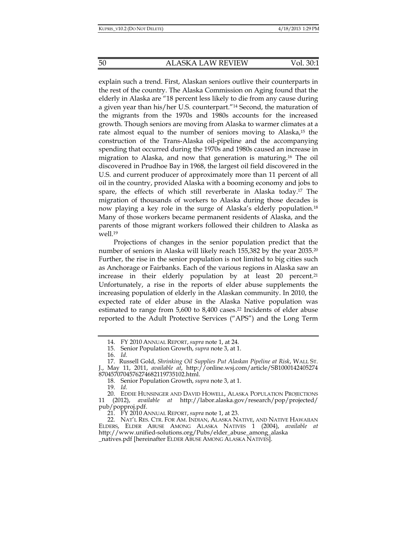explain such a trend. First, Alaskan seniors outlive their counterparts in the rest of the country. The Alaska Commission on Aging found that the elderly in Alaska are "18 percent less likely to die from any cause during a given year than his/her U.S. counterpart."14 Second, the maturation of the migrants from the 1970s and 1980s accounts for the increased growth. Though seniors are moving from Alaska to warmer climates at a rate almost equal to the number of seniors moving to Alaska,15 the construction of the Trans-Alaska oil-pipeline and the accompanying spending that occurred during the 1970s and 1980s caused an increase in migration to Alaska, and now that generation is maturing.16 The oil discovered in Prudhoe Bay in 1968, the largest oil field discovered in the U.S. and current producer of approximately more than 11 percent of all oil in the country, provided Alaska with a booming economy and jobs to spare, the effects of which still reverberate in Alaska today.17 The migration of thousands of workers to Alaska during those decades is now playing a key role in the surge of Alaska's elderly population.18 Many of those workers became permanent residents of Alaska, and the parents of those migrant workers followed their children to Alaska as well.19

Projections of changes in the senior population predict that the number of seniors in Alaska will likely reach 155,382 by the year 2035.20 Further, the rise in the senior population is not limited to big cities such as Anchorage or Fairbanks. Each of the various regions in Alaska saw an increase in their elderly population by at least  $20$  percent.<sup>21</sup> Unfortunately, a rise in the reports of elder abuse supplements the increasing population of elderly in the Alaskan community. In 2010, the expected rate of elder abuse in the Alaska Native population was estimated to range from 5,600 to 8,400 cases.<sup>22</sup> Incidents of elder abuse reported to the Adult Protective Services ("APS") and the Long Term

19. *Id.*

21. FY 2010 ANNUAL REPORT, *supra* note 1, at 23.

 <sup>14.</sup> FY 2010 ANNUAL REPORT, *supra* note 1, at 24.

 <sup>15.</sup> Senior Population Growth, *supra* note 3, at 1.

 <sup>16.</sup> *Id.*

 <sup>17.</sup> Russell Gold, *Shrinking Oil Supplies Put Alaskan Pipeline at Risk*, WALL ST. J., May 11, 2011, *available at*, http://online.wsj.com/article/SB1000142405274 8704570704576274682119735102.html.

 <sup>18.</sup> Senior Population Growth, *supra* note 3, at 1.

 <sup>20.</sup> EDDIE HUNSINGER AND DAVID HOWELL, ALASKA POPULATION PROJECTIONS 11 (2012), *available at* http://labor.alaska.gov/research/pop/projected/ pub/popproj.pdf.

 <sup>22.</sup> NAT'L RES. CTR. FOR AM. INDIAN, ALASKA NATIVE, AND NATIVE HAWAIIAN ELDERS, ELDER ABUSE AMONG ALASKA NATIVES 1 (2004), *available at* http://www.unified-solutions.org/Pubs/elder\_abuse\_among\_alaska \_natives.pdf [hereinafter ELDER ABUSE AMONG ALASKA NATIVES].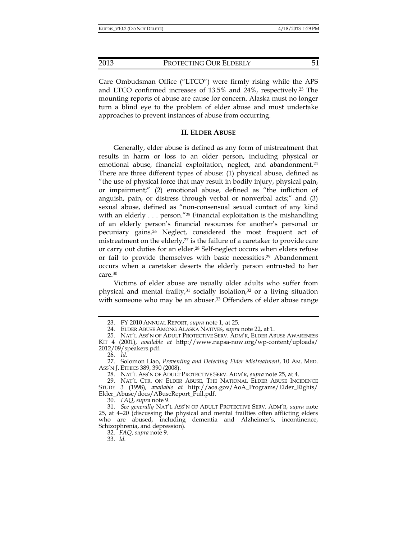Care Ombudsman Office ("LTCO") were firmly rising while the APS and LTCO confirmed increases of 13.5% and 24%, respectively.23 The mounting reports of abuse are cause for concern. Alaska must no longer turn a blind eye to the problem of elder abuse and must undertake approaches to prevent instances of abuse from occurring.

#### **II. ELDER ABUSE**

Generally, elder abuse is defined as any form of mistreatment that results in harm or loss to an older person, including physical or emotional abuse, financial exploitation, neglect, and abandonment.<sup>24</sup> There are three different types of abuse: (1) physical abuse, defined as "the use of physical force that may result in bodily injury, physical pain, or impairment;" (2) emotional abuse, defined as "the infliction of anguish, pain, or distress through verbal or nonverbal acts;" and (3) sexual abuse, defined as "non-consensual sexual contact of any kind with an elderly  $\ldots$  person."<sup>25</sup> Financial exploitation is the mishandling of an elderly person's financial resources for another's personal or pecuniary gains.26 Neglect, considered the most frequent act of mistreatment on the elderly,<sup>27</sup> is the failure of a caretaker to provide care or carry out duties for an elder.28 Self-neglect occurs when elders refuse or fail to provide themselves with basic necessities.29 Abandonment occurs when a caretaker deserts the elderly person entrusted to her care.30

Victims of elder abuse are usually older adults who suffer from physical and mental frailty, $31$  socially isolation, $32$  or a living situation with someone who may be an abuser.<sup>33</sup> Offenders of elder abuse range

30. *FAQ*, *supra* note 9.

32. *FAQ*, *supra* note 9.

33. *Id.*

 <sup>23.</sup> FY 2010 ANNUAL REPORT, *supra* note 1, at 25.

 <sup>24.</sup> ELDER ABUSE AMONG ALASKA NATIVES, *supra* note 22, at 1.

 <sup>25.</sup> NAT'L ASS'N OF ADULT PROTECTIVE SERV. ADM'R, ELDER ABUSE AWARENESS KIT 4 (2001), *available at* http://www.napsa-now.org/wp-content/uploads/ 2012/09/speakers.pdf.

 <sup>26.</sup> *Id.*

 <sup>27.</sup> Solomon Liao, *Preventing and Detecting Elder Mistreatment*, 10 AM. MED. ASS'N J. ETHICS 389, 390 (2008).

 <sup>28.</sup> NAT'L ASS'N OF ADULT PROTECTIVE SERV. ADM'R, *supra* note 25, at 4.

 <sup>29.</sup> NAT'L CTR. ON ELDER ABUSE, THE NATIONAL ELDER ABUSE INCIDENCE STUDY 3 (1998), *available at* http://aoa.gov/AoA\_Programs/Elder\_Rights/ Elder\_Abuse/docs/ABuseReport\_Full.pdf.

 <sup>31.</sup> *See generally* NAT'L ASS'N OF ADULT PROTECTIVE SERV. ADM'R, *supra* note 25, at 4–20 (discussing the physical and mental frailties often afflicting elders who are abused, including dementia and Alzheimer's, incontinence, Schizophrenia, and depression).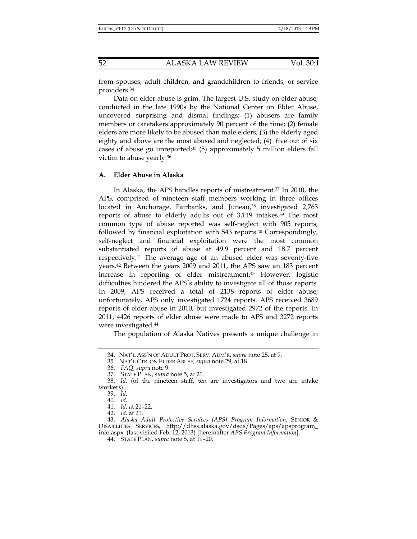from spouses, adult children, and grandchildren to friends, or service providers.34

Data on elder abuse is grim. The largest U.S. study on elder abuse, conducted in the late 1990s by the National Center on Elder Abuse, uncovered surprising and dismal findings: (1) abusers are family members or caretakers approximately 90 percent of the time; (2) female elders are more likely to be abused than male elders; (3) the elderly aged eighty and above are the most abused and neglected;  $(4)$  five out of six cases of abuse go unreported; $35$  (5) approximately 5 million elders fall victim to abuse yearly.36

#### **A. Elder Abuse in Alaska**

In Alaska, the APS handles reports of mistreatment.37 In 2010, the APS, comprised of nineteen staff members working in three offices located in Anchorage, Fairbanks, and Juneau,<sup>38</sup> investigated 2,763 reports of abuse to elderly adults out of 3,119 intakes.39 The most common type of abuse reported was self-neglect with 905 reports, followed by financial exploitation with 543 reports.40 Correspondingly, self-neglect and financial exploitation were the most common substantiated reports of abuse at 49.9 percent and 18.7 percent respectively.41 The average age of an abused elder was seventy-five years.42 Between the years 2009 and 2011, the APS saw an 183 percent increase in reporting of elder mistreatment.43 However, logistic difficulties hindered the APS's ability to investigate all of those reports. In 2009, APS received a total of 2138 reports of elder abuse; unfortunately, APS only investigated 1724 reports. APS received 3689 reports of elder abuse in 2010, but investigated 2972 of the reports. In 2011, 4426 reports of elder abuse were made to APS and 3272 reports were investigated.44

The population of Alaska Natives presents a unique challenge in

42. *Id.* at 21.

 <sup>34.</sup> NAT'L ASS'N OF ADULT PROT. SERV. ADM'R, *supra* note 25, at 9.

 <sup>35.</sup> NAT'L CTR. ON ELDER ABUSE, *supra* note 29, at 18.

 <sup>36.</sup> *FAQ*, *supra* note 9.

 <sup>37.</sup> STATE PLAN, *supra* note 5, at 21.

 <sup>38.</sup> *Id.* (of the nineteen staff, ten are investigators and two are intake workers).

 <sup>39.</sup> *Id.*

 <sup>40.</sup> *Id.*

 <sup>41.</sup> *Id.* at 21–22.

 <sup>43.</sup> *Alaska Adult Protective Services (APS) Program Information*, SENIOR & DISABILITIES SERVICES, http://dhss.alaska.gov/dsds/Pages/aps/apsprogram\_ info.aspx (last visited Feb. 12, 2013) [hereinafter *APS Program Information*].

 <sup>44.</sup> STATE PLAN, *supra* note 5, at 19–20.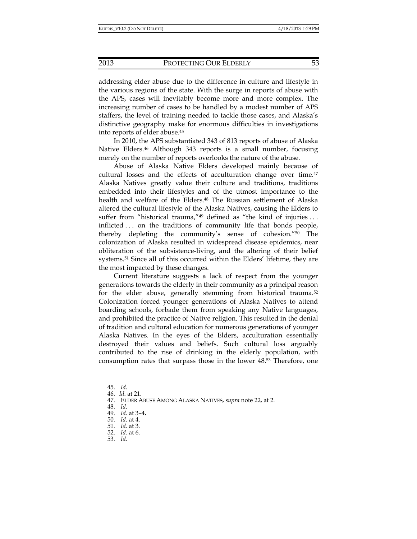addressing elder abuse due to the difference in culture and lifestyle in the various regions of the state. With the surge in reports of abuse with the APS, cases will inevitably become more and more complex. The increasing number of cases to be handled by a modest number of APS staffers, the level of training needed to tackle those cases, and Alaska's distinctive geography make for enormous difficulties in investigations into reports of elder abuse.45

In 2010, the APS substantiated 343 of 813 reports of abuse of Alaska Native Elders.<sup>46</sup> Although 343 reports is a small number, focusing merely on the number of reports overlooks the nature of the abuse.

Abuse of Alaska Native Elders developed mainly because of cultural losses and the effects of acculturation change over time.47 Alaska Natives greatly value their culture and traditions, traditions embedded into their lifestyles and of the utmost importance to the health and welfare of the Elders.<sup>48</sup> The Russian settlement of Alaska altered the cultural lifestyle of the Alaska Natives, causing the Elders to suffer from "historical trauma," $49$  defined as "the kind of injuries... inflicted . . . on the traditions of community life that bonds people, thereby depleting the community's sense of cohesion."50 The colonization of Alaska resulted in widespread disease epidemics, near obliteration of the subsistence-living, and the altering of their belief systems.<sup>51</sup> Since all of this occurred within the Elders' lifetime, they are the most impacted by these changes.

Current literature suggests a lack of respect from the younger generations towards the elderly in their community as a principal reason for the elder abuse, generally stemming from historical trauma.<sup>52</sup> Colonization forced younger generations of Alaska Natives to attend boarding schools, forbade them from speaking any Native languages, and prohibited the practice of Native religion. This resulted in the denial of tradition and cultural education for numerous generations of younger Alaska Natives. In the eyes of the Elders, acculturation essentially destroyed their values and beliefs. Such cultural loss arguably contributed to the rise of drinking in the elderly population, with consumption rates that surpass those in the lower 48.53 Therefore, one

 <sup>45.</sup> *Id.*

 <sup>46.</sup> *Id*. at 21.

 <sup>47.</sup> ELDER ABUSE AMONG ALASKA NATIVES, *supra* note 22, at 2.

 <sup>48.</sup> *Id.*

 <sup>49.</sup> *Id.* at 3–4**.**

 <sup>50.</sup> *Id.* at 4.

 <sup>51.</sup> *Id.* at 3.

 <sup>52.</sup> *Id.* at 6.

 <sup>53.</sup> *Id.*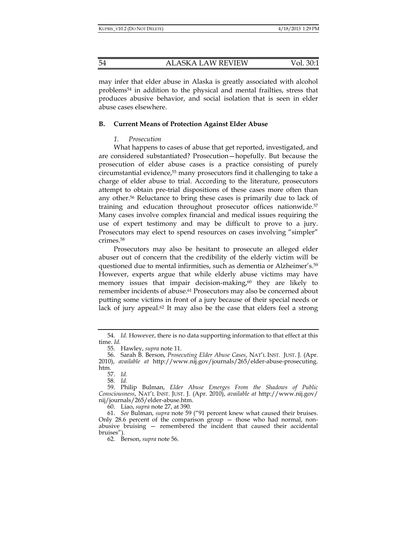may infer that elder abuse in Alaska is greatly associated with alcohol problems54 in addition to the physical and mental frailties, stress that produces abusive behavior, and social isolation that is seen in elder abuse cases elsewhere.

#### **B. Current Means of Protection Against Elder Abuse**

#### *1. Prosecution*

What happens to cases of abuse that get reported, investigated, and are considered substantiated? Prosecution—hopefully. But because the prosecution of elder abuse cases is a practice consisting of purely circumstantial evidence,55 many prosecutors find it challenging to take a charge of elder abuse to trial. According to the literature, prosecutors attempt to obtain pre-trial dispositions of these cases more often than any other.56 Reluctance to bring these cases is primarily due to lack of training and education throughout prosecutor offices nationwide.57 Many cases involve complex financial and medical issues requiring the use of expert testimony and may be difficult to prove to a jury. Prosecutors may elect to spend resources on cases involving "simpler" crimes.58

Prosecutors may also be hesitant to prosecute an alleged elder abuser out of concern that the credibility of the elderly victim will be questioned due to mental infirmities, such as dementia or Alzheimer's.59 However, experts argue that while elderly abuse victims may have memory issues that impair decision-making, $60$  they are likely to remember incidents of abuse.<sup>61</sup> Prosecutors may also be concerned about putting some victims in front of a jury because of their special needs or lack of jury appeal.<sup>62</sup> It may also be the case that elders feel a strong

57. *Id.*

58. *Id.*

60. Liao, *supra* note 27, at 390.

 <sup>54.</sup> *Id.* However, there is no data supporting information to that effect at this time. *Id.*

 <sup>55.</sup> Hawley, *supra* note 11.

 <sup>56.</sup> Sarah B. Berson, *Prosecuting Elder Abuse Cases*, NAT'L INST. JUST. J. (Apr. 2010), *available at* http://www.nij.gov/journals/265/elder-abuse-prosecuting. htm.

 <sup>59.</sup> Philip Bulman, *Elder Abuse Emerges From the Shadows of Public Consciousness*, NAT'L INST. JUST. J. (Apr. 2010), *available at* http://www.nij.gov/ nij/journals/265/elder-abuse.htm.

 <sup>61.</sup> *See* Bulman, *supra* note 59 ("91 percent knew what caused their bruises. Only 28.6 percent of the comparison group — those who had normal, nonabusive bruising — remembered the incident that caused their accidental bruises").

 <sup>62.</sup> Berson, *supra* note 56.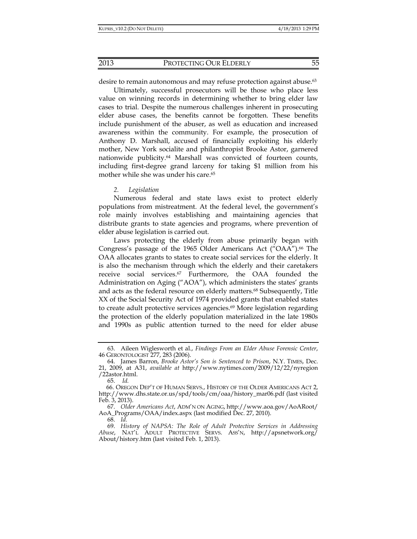desire to remain autonomous and may refuse protection against abuse.<sup>63</sup>

Ultimately, successful prosecutors will be those who place less value on winning records in determining whether to bring elder law cases to trial. Despite the numerous challenges inherent in prosecuting elder abuse cases, the benefits cannot be forgotten. These benefits include punishment of the abuser, as well as education and increased awareness within the community. For example, the prosecution of Anthony D. Marshall, accused of financially exploiting his elderly mother, New York socialite and philanthropist Brooke Astor, garnered nationwide publicity.64 Marshall was convicted of fourteen counts, including first-degree grand larceny for taking \$1 million from his mother while she was under his care.<sup>65</sup>

#### *2. Legislation*

Numerous federal and state laws exist to protect elderly populations from mistreatment. At the federal level, the government's role mainly involves establishing and maintaining agencies that distribute grants to state agencies and programs, where prevention of elder abuse legislation is carried out.

Laws protecting the elderly from abuse primarily began with Congress's passage of the 1965 Older Americans Act ("OAA").<sup>66</sup> The OAA allocates grants to states to create social services for the elderly. It is also the mechanism through which the elderly and their caretakers receive social services.67 Furthermore, the OAA founded the Administration on Aging ("AOA"), which administers the states' grants and acts as the federal resource on elderly matters.<sup>68</sup> Subsequently, Title XX of the Social Security Act of 1974 provided grants that enabled states to create adult protective services agencies.<sup>69</sup> More legislation regarding the protection of the elderly population materialized in the late 1980s and 1990s as public attention turned to the need for elder abuse

 <sup>63.</sup> Aileen Wiglesworth et al., *Findings From an Elder Abuse Forensic Center*, 46 GERONTOLOGIST 277, 283 (2006).

 <sup>64.</sup> James Barron, *Brooke Astor's Son is Sentenced to Prison*, N.Y. TIMES, Dec. 21, 2009, at A31, *available at* http://www.nytimes.com/2009/12/22/nyregion /22astor.html.

 <sup>65.</sup> *Id.*

 <sup>66.</sup> OREGON DEP'T OF HUMAN SERVS., HISTORY OF THE OLDER AMERICANS ACT 2, http://www.dhs.state.or.us/spd/tools/cm/oaa/history\_mar06.pdf (last visited Feb. 3, 2013).

 <sup>67.</sup> *Older Americans Act*, ADM'N ON AGING, http://www.aoa.gov/AoARoot/ AoA\_Programs/OAA/index.aspx (last modified Dec. 27, 2010).

 <sup>68.</sup> *Id.*

 <sup>69.</sup> *History of NAPSA: The Role of Adult Protective Services in Addressing Abuse*, NAT'L ADULT PROTECTIVE SERVS. ASS'N, http://apsnetwork.org/ About/history.htm (last visited Feb. 1, 2013).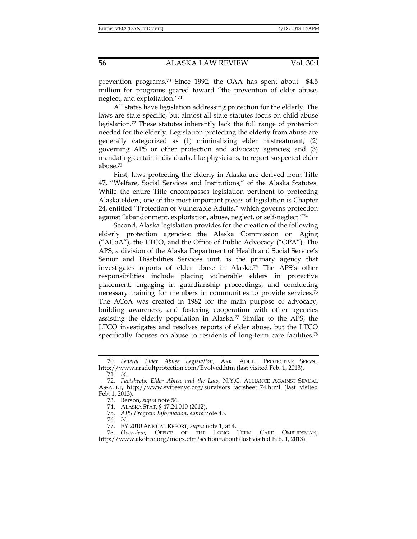prevention programs.70 Since 1992, the OAA has spent about \$4.5 million for programs geared toward "the prevention of elder abuse, neglect, and exploitation."71

All states have legislation addressing protection for the elderly. The laws are state-specific, but almost all state statutes focus on child abuse legislation.72 These statutes inherently lack the full range of protection needed for the elderly. Legislation protecting the elderly from abuse are generally categorized as (1) criminalizing elder mistreatment; (2) governing APS or other protection and advocacy agencies; and (3) mandating certain individuals, like physicians, to report suspected elder abuse.73

First, laws protecting the elderly in Alaska are derived from Title 47, "Welfare, Social Services and Institutions," of the Alaska Statutes. While the entire Title encompasses legislation pertinent to protecting Alaska elders, one of the most important pieces of legislation is Chapter 24, entitled "Protection of Vulnerable Adults," which governs protection against "abandonment, exploitation, abuse, neglect, or self-neglect."74

Second, Alaska legislation provides for the creation of the following elderly protection agencies: the Alaska Commission on Aging ("ACoA"), the LTCO, and the Office of Public Advocacy ("OPA"). The APS, a division of the Alaska Department of Health and Social Service's Senior and Disabilities Services unit, is the primary agency that investigates reports of elder abuse in Alaska.75 The APS's other responsibilities include placing vulnerable elders in protective placement, engaging in guardianship proceedings, and conducting necessary training for members in communities to provide services.76 The ACoA was created in 1982 for the main purpose of advocacy, building awareness, and fostering cooperation with other agencies assisting the elderly population in Alaska.77 Similar to the APS, the LTCO investigates and resolves reports of elder abuse, but the LTCO specifically focuses on abuse to residents of long-term care facilities.<sup>78</sup>

 <sup>70.</sup> *Federal Elder Abuse Legislation*, ARK. ADULT PROTECTIVE SERVS., http://www.aradultprotection.com/Evolved.htm (last visited Feb. 1, 2013).

 <sup>71.</sup> *Id.*

 <sup>72.</sup> *Factsheets: Elder Abuse and the Law*, N.Y.C. ALLIANCE AGAINST SEXUAL ASSAULT, http://www.svfreenyc.org/survivors\_factsheet\_74.html (last visited Feb. 1, 2013).

 <sup>73.</sup> Berson, *supra* note 56.

 <sup>74.</sup> ALASKA STAT. § 47.24.010 (2012).

 <sup>75.</sup> *APS Program Information*, *supra* note 43.

 <sup>76.</sup> *Id.*

 <sup>77.</sup> FY 2010 ANNUAL REPORT, *supra* note 1, at 4.

 <sup>78.</sup> *Overview*, OFFICE OF THE LONG TERM CARE OMBUDSMAN, http://www.akoltco.org/index.cfm?section=about (last visited Feb. 1, 2013).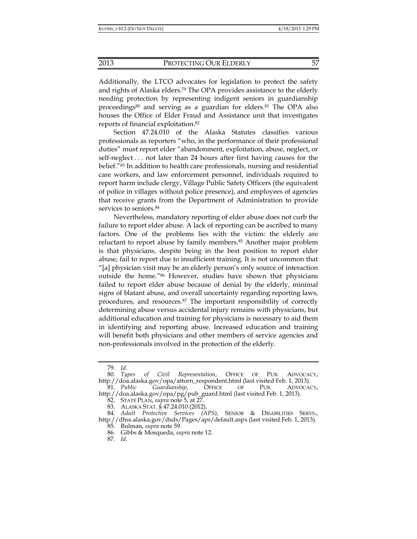Additionally, the LTCO advocates for legislation to protect the safety and rights of Alaska elders.<sup>79</sup> The OPA provides assistance to the elderly needing protection by representing indigent seniors in guardianship proceedings<sup>80</sup> and serving as a guardian for elders.<sup>81</sup> The OPA also houses the Office of Elder Fraud and Assistance unit that investigates reports of financial exploitation.82

Section 47.24.010 of the Alaska Statutes classifies various professionals as reporters "who, in the performance of their professional duties" must report elder "abandonment, exploitation, abuse, neglect, or self-neglect . . . not later than 24 hours after first having causes for the belief."83 In addition to health care professionals, nursing and residential care workers, and law enforcement personnel, individuals required to report harm include clergy, Village Public Safety Officers (the equivalent of police in villages without police presence), and employees of agencies that receive grants from the Department of Administration to provide services to seniors.<sup>84</sup>

Nevertheless, mandatory reporting of elder abuse does not curb the failure to report elder abuse. A lack of reporting can be ascribed to many factors. One of the problems lies with the victim: the elderly are reluctant to report abuse by family members.85 Another major problem is that physicians, despite being in the best position to report elder abuse, fail to report due to insufficient training. It is not uncommon that "[a] physician visit may be an elderly person's only source of interaction outside the home."86 However, studies have shown that physicians failed to report elder abuse because of denial by the elderly, minimal signs of blatant abuse, and overall uncertainty regarding reporting laws, procedures, and resources.87 The important responsibility of correctly determining abuse versus accidental injury remains with physicians, but additional education and training for physicians is necessary to aid them in identifying and reporting abuse. Increased education and training will benefit both physicians and other members of service agencies and non-professionals involved in the protection of the elderly.

 <sup>79.</sup> *Id.* 80. *Types of Civil Representation*, OFFICE OF PUB. ADVOCACY, http://doa.alaska.gov/opa/attorn\_respondent.html (last visited Feb. 1, 2013).

 <sup>81.</sup> *Public Guardianship*, OFFICE OF PUB. ADVOCACY, http://doa.alaska.gov/opa/pg/pub\_guard.html (last visited Feb. 1, 2013).

 <sup>82.</sup> STATE PLAN, *supra* note 5, at 27.

 <sup>83.</sup> ALASKA STAT. § 47.24.010 (2012).

 <sup>84.</sup> *Adult Protective Services (APS)*, SENIOR & DISABILITIES SERVS., http://dhss.alaska.gov/dsds/Pages/aps/default.aspx (last visited Feb. 1, 2013).

 <sup>85.</sup> Bulman, *supra* note 59.

 <sup>86.</sup> Gibbs & Mosqueda, *supra* note 12.

 <sup>87.</sup> *Id.*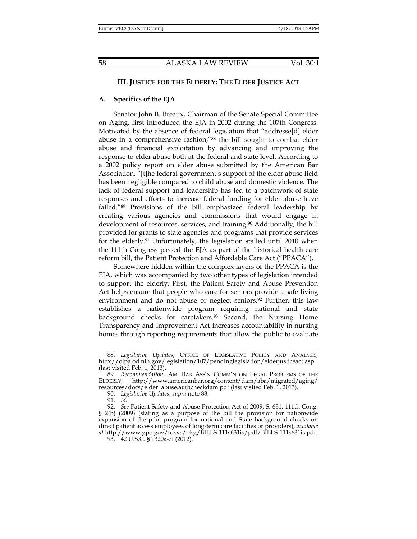# **III. JUSTICE FOR THE ELDERLY: THE ELDER JUSTICE ACT**

#### **A. Specifics of the EJA**

Senator John B. Breaux, Chairman of the Senate Special Committee on Aging, first introduced the EJA in 2002 during the 107th Congress. Motivated by the absence of federal legislation that "addresse[d] elder abuse in a comprehensive fashion,"88 the bill sought to combat elder abuse and financial exploitation by advancing and improving the response to elder abuse both at the federal and state level. According to a 2002 policy report on elder abuse submitted by the American Bar Association, "[t]he federal government's support of the elder abuse field has been negligible compared to child abuse and domestic violence. The lack of federal support and leadership has led to a patchwork of state responses and efforts to increase federal funding for elder abuse have failed."89 Provisions of the bill emphasized federal leadership by creating various agencies and commissions that would engage in development of resources, services, and training.<sup>90</sup> Additionally, the bill provided for grants to state agencies and programs that provide services for the elderly.91 Unfortunately, the legislation stalled until 2010 when the 111th Congress passed the EJA as part of the historical health care reform bill, the Patient Protection and Affordable Care Act ("PPACA").

Somewhere hidden within the complex layers of the PPACA is the EJA, which was accompanied by two other types of legislation intended to support the elderly. First, the Patient Safety and Abuse Prevention Act helps ensure that people who care for seniors provide a safe living environment and do not abuse or neglect seniors.<sup>92</sup> Further, this law establishes a nationwide program requiring national and state background checks for caretakers.<sup>93</sup> Second, the Nursing Home Transparency and Improvement Act increases accountability in nursing homes through reporting requirements that allow the public to evaluate

93. 42 U.S.C. § 1320a-7l (2012).

 <sup>88.</sup> *Legislative Updates*, OFFICE OF LEGISLATIVE POLICY AND ANALYSIS, http://olpa.od.nih.gov/legislation/107/pendinglegislation/elderjusticeact.asp (last visited Feb. 1,  $2013$ ).

 <sup>89.</sup> *Recommendation*, AM. BAR ASS'N COMM'N ON LEGAL PROBLEMS OF THE ELDERLY, http://www.americanbar.org/content/dam/aba/migrated/aging/ resources/docs/elder\_abuse.authcheckdam.pdf (last visited Feb. 1, 2013).

 <sup>90.</sup> *Legislative Updates*, *supra* note 88.

 <sup>91.</sup> *Id.*

 <sup>92.</sup> *See* Patient Safety and Abuse Protection Act of 2009, S. 631, 111th Cong. § 2(b) (2009) (stating as a purpose of the bill the provision for nationwide expansion of the pilot program for national and State background checks on direct patient access employees of long-term care facilities or providers), *available at* http://www.gpo.gov/fdsys/pkg/BILLS-111s631is/pdf/BILLS-111s631is.pdf.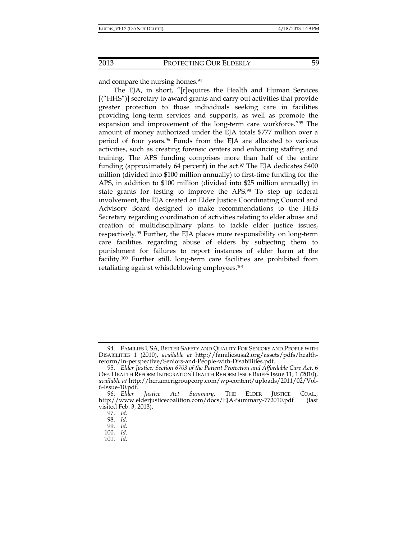and compare the nursing homes.<sup>94</sup>

The EJA, in short, "[r]equires the Health and Human Services [("HHS")] secretary to award grants and carry out activities that provide greater protection to those individuals seeking care in facilities providing long-term services and supports, as well as promote the expansion and improvement of the long-term care workforce."95 The amount of money authorized under the EJA totals \$777 million over a period of four years.96 Funds from the EJA are allocated to various activities, such as creating forensic centers and enhancing staffing and training. The APS funding comprises more than half of the entire funding (approximately 64 percent) in the  $act.^{97}$  The EJA dedicates \$400 million (divided into \$100 million annually) to first-time funding for the APS, in addition to \$100 million (divided into \$25 million annually) in state grants for testing to improve the APS.98 To step up federal involvement, the EJA created an Elder Justice Coordinating Council and Advisory Board designed to make recommendations to the HHS Secretary regarding coordination of activities relating to elder abuse and creation of multidisciplinary plans to tackle elder justice issues, respectively.99 Further, the EJA places more responsibility on long-term care facilities regarding abuse of elders by subjecting them to punishment for failures to report instances of elder harm at the facility.100 Further still, long-term care facilities are prohibited from retaliating against whistleblowing employees.<sup>101</sup>

 <sup>94.</sup> FAMILIES USA, BETTER SAFETY AND QUALITY FOR SENIORS AND PEOPLE WITH DISABILITIES 1 (2010), *available at* http://familiesusa2.org/assets/pdfs/healthreform/in-perspective/Seniors-and-People-with-Disabilities.pdf.

 <sup>95.</sup> *Elder Justice: Section 6703 of the Patient Protection and Affordable Care Act*, 6 OFF. HEALTH REFORM INTEGRATION HEALTH REFORM ISSUE BRIEFS Issue 11, 1 (2010), *available at* http://hcr.amerigroupcorp.com/wp-content/uploads/2011/02/Vol-6-Issue-10.pdf.

 <sup>96.</sup> *Elder Justice Act Summary*, THE ELDER JUSTICE COAL., http://www.elderjusticecoalition.com/docs/EJA-Summary-772010.pdf (last visited Feb. 3, 2013).

 <sup>97.</sup> *Id.*

 <sup>98.</sup> *Id.*

 <sup>99.</sup> *Id.*

 <sup>100.</sup> *Id.*

 <sup>101.</sup> *Id.*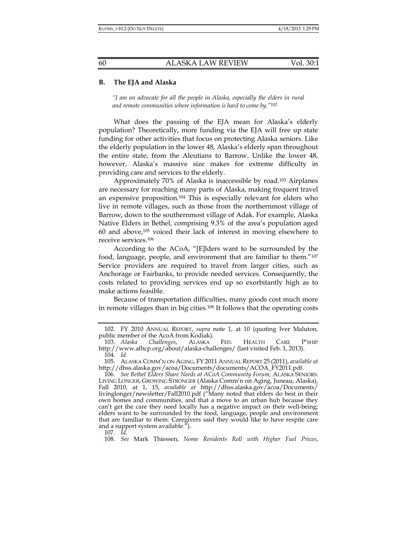#### **B. The EJA and Alaska**

*"I am an advocate for all the people in Alaska, especially the elders in rural and remote communities where information is hard to come by."102*

What does the passing of the EJA mean for Alaska's elderly population? Theoretically, more funding via the EJA will free up state funding for other activities that focus on protecting Alaska seniors. Like the elderly population in the lower 48, Alaska's elderly span throughout the entire state, from the Aleutians to Barrow. Unlike the lower 48, however, Alaska's massive size makes for extreme difficulty in providing care and services to the elderly.

Approximately 70% of Alaska is inaccessible by road.103 Airplanes are necessary for reaching many parts of Alaska, making frequent travel an expensive proposition.104 This is especially relevant for elders who live in remote villages, such as those from the northernmost village of Barrow, down to the southernmost village of Adak. For example, Alaska Native Elders in Bethel, comprising 9.3% of the area's population aged  $60$  and above, $105$  voiced their lack of interest in moving elsewhere to receive services.106

According to the ACoA, "[E]lders want to be surrounded by the food, language, people, and environment that are familiar to them."107 Service providers are required to travel from larger cities, such as Anchorage or Fairbanks, to provide needed services. Consequently, the costs related to providing services end up so exorbitantly high as to make actions feasible.

Because of transportation difficulties, many goods cost much more in remote villages than in big cities.108 It follows that the operating costs

107. *Id.*

108. *See* Mark Thiessen, *Nome Residents Roll with Higher Fuel Prices*,

 <sup>102.</sup> FY 2010 ANNUAL REPORT, *supra* note 1, at 10 (quoting Iver Maluton, public member of the AcoA from Kodiak).

 <sup>103.</sup> *Alaska Challenges*, ALASKA FED. HEALTH CARE P'SHIP http://www.afhcp.org/about/alaska-challenges/ (last visited Feb. 1, 2013). 104. *Id.*

 <sup>105.</sup> ALASKA COMM'N ON AGING, FY 2011 ANNUAL REPORT 25 (2011), *available at* http://dhss.alaska.gov/acoa/Documents/documents/ACOA\_FY2011.pdf.

 <sup>106.</sup> *See Bethel Elders Share Needs at ACoA Community Forum,* ALASKA SENIORS: LIVING LONGER, GROWING STRONGER (Alaska Comm'n on Aging, Juneau, Alaska), Fall 2010, at 1, 15, *available at* http://dhss.alaska.gov/acoa/Documents/ livinglonger/newsletter/Fall2010.pdf ("Many noted that elders do best in their own homes and communities, and that a move to an urban hub because they can't get the care they need locally has a negative impact on their well-being; elders want to be surrounded by the food, language, people and environment that are familiar to them. Caregivers said they would like to have respite care and a support system available.").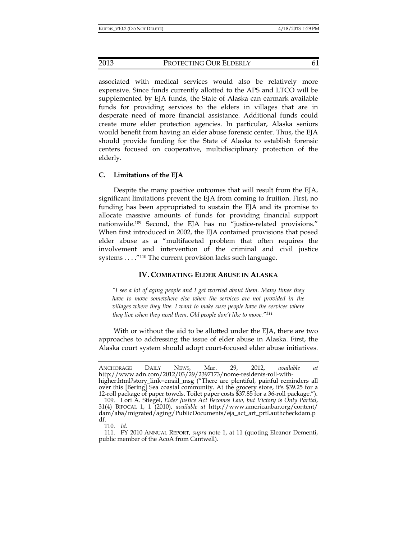associated with medical services would also be relatively more expensive. Since funds currently allotted to the APS and LTCO will be supplemented by EJA funds, the State of Alaska can earmark available funds for providing services to the elders in villages that are in desperate need of more financial assistance. Additional funds could create more elder protection agencies. In particular, Alaska seniors would benefit from having an elder abuse forensic center. Thus, the EJA should provide funding for the State of Alaska to establish forensic centers focused on cooperative, multidisciplinary protection of the elderly.

# **C. Limitations of the EJA**

Despite the many positive outcomes that will result from the EJA, significant limitations prevent the EJA from coming to fruition. First, no funding has been appropriated to sustain the EJA and its promise to allocate massive amounts of funds for providing financial support nationwide.109 Second, the EJA has no "justice-related provisions." When first introduced in 2002, the EJA contained provisions that posed elder abuse as a "multifaceted problem that often requires the involvement and intervention of the criminal and civil justice systems . . . . "<sup>110</sup> The current provision lacks such language.

#### **IV. COMBATING ELDER ABUSE IN ALASKA**

*"I see a lot of aging people and I get worried about them. Many times they have to move somewhere else when the services are not provided in the villages where they live. I want to make sure people have the services where they live when they need them. Old people don't like to move."111*

With or without the aid to be allotted under the EJA, there are two approaches to addressing the issue of elder abuse in Alaska. First, the Alaska court system should adopt court-focused elder abuse initiatives.

110. *Id.*

 111. FY 2010 ANNUAL REPORT, *supra* note 1, at 11 (quoting Eleanor Dementi, public member of the AcoA from Cantwell).

ANCHORAGE DAILY NEWS, Mar. 29, 2012, *available at* http://www.adn.com/2012/03/29/2397173/nome-residents-roll-withhigher.html?story\_link=email\_msg ("There are plentiful, painful reminders all over this [Bering] Sea coastal community. At the grocery store, it's \$39.25 for a

<sup>12-</sup>roll package of paper towels. Toilet paper costs \$37.85 for a 36-roll package."). 109. Lori A. Stiegel, *Elder Justice Act Becomes Law, but Victory is Only Partial*, 31(4) BIFOCAL 1, 1 (2010), *available at* http://www.americanbar.org/content/ dam/aba/migrated/aging/PublicDocuments/eja\_act\_art\_prtl.authcheckdam.p df.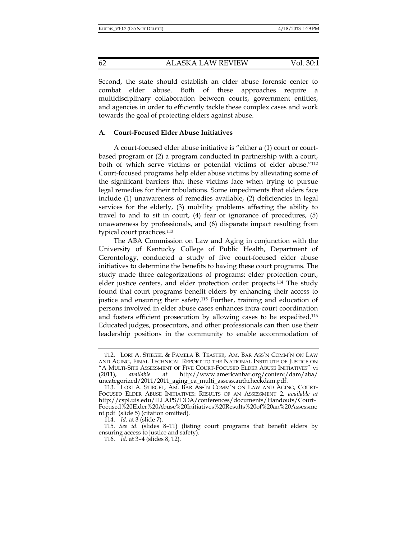Second, the state should establish an elder abuse forensic center to combat elder abuse. Both of these approaches require a multidisciplinary collaboration between courts, government entities, and agencies in order to efficiently tackle these complex cases and work towards the goal of protecting elders against abuse.

## **A. Court-Focused Elder Abuse Initiatives**

A court-focused elder abuse initiative is "either a (1) court or courtbased program or (2) a program conducted in partnership with a court, both of which serve victims or potential victims of elder abuse."112 Court-focused programs help elder abuse victims by alleviating some of the significant barriers that these victims face when trying to pursue legal remedies for their tribulations. Some impediments that elders face include (1) unawareness of remedies available, (2) deficiencies in legal services for the elderly, (3) mobility problems affecting the ability to travel to and to sit in court, (4) fear or ignorance of procedures, (5) unawareness by professionals, and (6) disparate impact resulting from typical court practices.113

The ABA Commission on Law and Aging in conjunction with the University of Kentucky College of Public Health, Department of Gerontology, conducted a study of five court-focused elder abuse initiatives to determine the benefits to having these court programs. The study made three categorizations of programs: elder protection court, elder justice centers, and elder protection order projects.114 The study found that court programs benefit elders by enhancing their access to justice and ensuring their safety.115 Further, training and education of persons involved in elder abuse cases enhances intra-court coordination and fosters efficient prosecution by allowing cases to be expedited.116 Educated judges, prosecutors, and other professionals can then use their leadership positions in the community to enable accommodation of

 <sup>112.</sup> LORI A. STIEGEL & PAMELA B. TEASTER, AM. BAR ASS'N COMM'N ON LAW AND AGING, FINAL TECHNICAL REPORT TO THE NATIONAL INSTITUTE OF JUSTICE ON "A MULTI-SITE ASSESSMENT OF FIVE COURT-FOCUSED ELDER ABUSE INITIATIVES" vi (2011), *available at* http://www.americanbar.org/content/dam/aba/ uncategorized/2011/2011\_aging\_ea\_multi\_assess.authcheckdam.pdf.

 <sup>113.</sup> LORI A. STIEGEL, AM. BAR ASS'N COMM'N ON LAW AND AGING, COURT-FOCUSED ELDER ABUSE INITIATIVES: RESULTS OF AN ASSESSMENT 2, *available at* http://cspl.uis.edu/ILLAPS/DOA/conferences/documents/Handouts/Court-Focused%20Elder%20Abuse%20Initiatives%20Results%20of%20an%20Assessme nt.pdf (slide 5) (citation omitted).

 <sup>114.</sup> *Id.* at 3 (slide 7).

 <sup>115.</sup> *See id.* (slides 8–11) (listing court programs that benefit elders by ensuring access to justice and safety).

 <sup>116.</sup> *Id.* at 3–4 (slides 8, 12).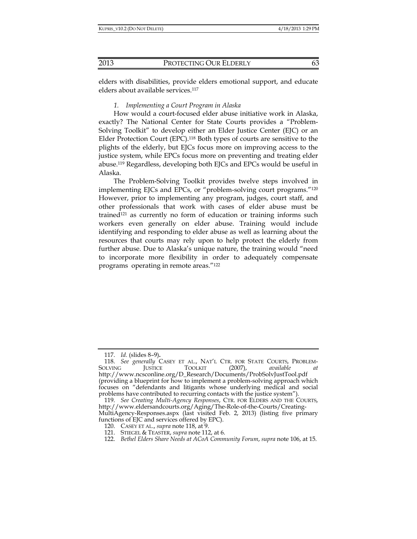elders with disabilities, provide elders emotional support, and educate elders about available services.<sup>117</sup>

#### *1. Implementing a Court Program in Alaska*

How would a court-focused elder abuse initiative work in Alaska, exactly? The National Center for State Courts provides a "Problem-Solving Toolkit" to develop either an Elder Justice Center (EJC) or an Elder Protection Court (EPC).118 Both types of courts are sensitive to the plights of the elderly, but EJCs focus more on improving access to the justice system, while EPCs focus more on preventing and treating elder abuse.119 Regardless, developing both EJCs and EPCs would be useful in Alaska.

The Problem-Solving Toolkit provides twelve steps involved in implementing EJCs and EPCs, or "problem-solving court programs."120 However, prior to implementing any program, judges, court staff, and other professionals that work with cases of elder abuse must be trained121 as currently no form of education or training informs such workers even generally on elder abuse. Training would include identifying and responding to elder abuse as well as learning about the resources that courts may rely upon to help protect the elderly from further abuse. Due to Alaska's unique nature, the training would "need to incorporate more flexibility in order to adequately compensate programs operating in remote areas."122

 <sup>117.</sup> *Id.* (slides 8–9)**.**

<sup>118.</sup> *See generally CASEY ET AL.*, NAT'L CTR. FOR STATE COURTS, PROBLEM-<br>DLVING **I**USTICE TOOLKIT (2007), available at SOLVING JUSTICE TOOLKIT (2007), *available at*  http://www.ncsconline.org/D\_Research/Documents/ProbSolvJustTool.pdf (providing a blueprint for how to implement a problem-solving approach which focuses on "defendants and litigants whose underlying medical and social problems have contributed to recurring contacts with the justice system").

 <sup>119.</sup> *See Creating Multi-Agency Responses*, CTR. FOR ELDERS AND THE COURTS, http://www.eldersandcourts.org/Aging/The-Role-of-the-Courts/Creating-MultiAgency-Responses.aspx (last visited Feb. 2, 2013) (listing five primary functions of EJC and services offered by EPC).

 <sup>120.</sup> CASEY ET AL., *supra* note 118, at 9.

 <sup>121.</sup> STIEGEL & TEASTER, *supra* note 112, at 6.

 <sup>122.</sup> *Bethel Elders Share Needs at ACoA Community Forum*, *supra* note 106, at 15.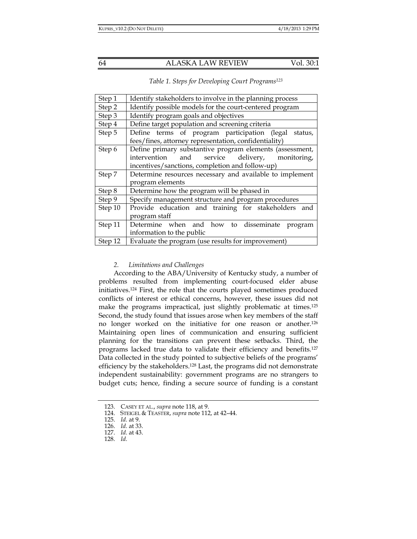| Step 1  | Identify stakeholders to involve in the planning process                                                                                                      |
|---------|---------------------------------------------------------------------------------------------------------------------------------------------------------------|
| Step 2  | Identify possible models for the court-centered program                                                                                                       |
| Step 3  | Identify program goals and objectives                                                                                                                         |
| Step 4  | Define target population and screening criteria                                                                                                               |
| Step 5  | Define terms of program participation (legal status,<br>fees/fines, attorney representation, confidentiality)                                                 |
| Step 6  | Define primary substantive program elements (assessment,<br>intervention and service delivery, monitoring,<br>incentives/sanctions, completion and follow-up) |
| Step 7  | Determine resources necessary and available to implement<br>program elements                                                                                  |
| Step 8  | Determine how the program will be phased in                                                                                                                   |
| Step 9  | Specify management structure and program procedures                                                                                                           |
| Step 10 | Provide education and training for stakeholders and<br>program staff                                                                                          |
| Step 11 | Determine when and how to disseminate program<br>information to the public                                                                                    |
| Step 12 | Evaluate the program (use results for improvement)                                                                                                            |

# *2. Limitations and Challenges*

According to the ABA/University of Kentucky study, a number of problems resulted from implementing court-focused elder abuse initiatives.124 First, the role that the courts played sometimes produced conflicts of interest or ethical concerns, however, these issues did not make the programs impractical, just slightly problematic at times.<sup>125</sup> Second, the study found that issues arose when key members of the staff no longer worked on the initiative for one reason or another.126 Maintaining open lines of communication and ensuring sufficient planning for the transitions can prevent these setbacks. Third, the programs lacked true data to validate their efficiency and benefits.127 Data collected in the study pointed to subjective beliefs of the programs' efficiency by the stakeholders.128 Last, the programs did not demonstrate independent sustainability: government programs are no strangers to budget cuts; hence, finding a secure source of funding is a constant

 <sup>123.</sup> CASEY ET AL., *supra* note 118, at 9.

 <sup>124.</sup> STEIGEL & TEASTER, *supra* note 112, at 42–44.

 <sup>125.</sup> *Id.* at 9.

 <sup>126.</sup> *Id.* at 33.

 <sup>127.</sup> *Id.* at 43.

 <sup>128.</sup> *Id.*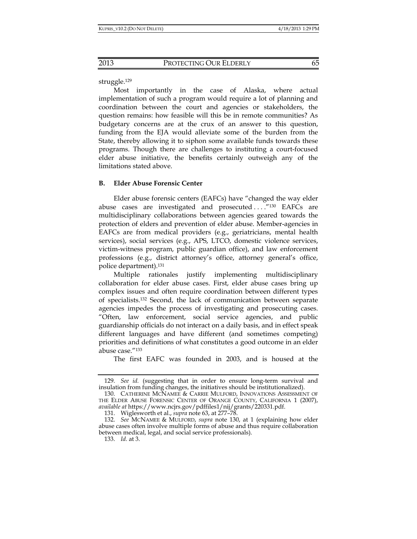struggle.129

Most importantly in the case of Alaska, where actual implementation of such a program would require a lot of planning and coordination between the court and agencies or stakeholders, the question remains: how feasible will this be in remote communities? As budgetary concerns are at the crux of an answer to this question, funding from the EJA would alleviate some of the burden from the State, thereby allowing it to siphon some available funds towards these programs. Though there are challenges to instituting a court-focused elder abuse initiative, the benefits certainly outweigh any of the limitations stated above.

# **B. Elder Abuse Forensic Center**

Elder abuse forensic centers (EAFCs) have "changed the way elder abuse cases are investigated and prosecuted ...."<sup>130</sup> EAFCs are multidisciplinary collaborations between agencies geared towards the protection of elders and prevention of elder abuse. Member-agencies in EAFCs are from medical providers (e.g., geriatricians, mental health services), social services (e.g., APS, LTCO, domestic violence services, victim-witness program, public guardian office), and law enforcement professions (e.g., district attorney's office, attorney general's office, police department).131

Multiple rationales justify implementing multidisciplinary collaboration for elder abuse cases. First, elder abuse cases bring up complex issues and often require coordination between different types of specialists.132 Second, the lack of communication between separate agencies impedes the process of investigating and prosecuting cases. "Often, law enforcement, social service agencies, and public guardianship officials do not interact on a daily basis, and in effect speak different languages and have different (and sometimes competing) priorities and definitions of what constitutes a good outcome in an elder abuse case."133

The first EAFC was founded in 2003, and is housed at the

 <sup>129.</sup> *See id.* (suggesting that in order to ensure long-term survival and insulation from funding changes, the initiatives should be institutionalized).

 <sup>130.</sup> CATHERINE MCNAMEE & CARRIE MULFORD, INNOVATIONS ASSESSMENT OF THE ELDER ABUSE FORENSIC CENTER OF ORANGE COUNTY, CALIFORNIA 1 (2007), *available at* https://www.ncjrs.gov/pdffiles1/nij/grants/220331.pdf.

 <sup>131.</sup> Wiglesworth et al., *supra* note 63, at 277–78.

 <sup>132.</sup> *See* MCNAMEE & MULFORD, *supra* note 130, at 1 (explaining how elder abuse cases often involve multiple forms of abuse and thus require collaboration between medical, legal, and social service professionals).

 <sup>133.</sup> *Id.* at 3.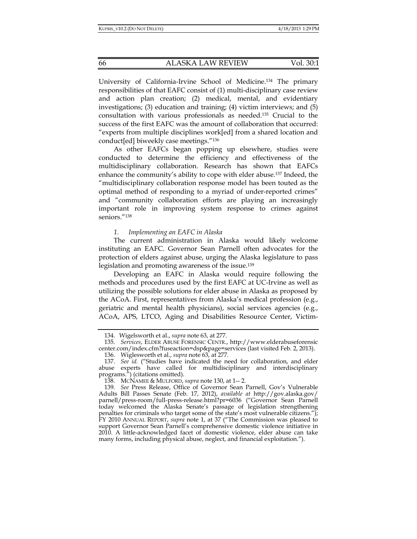University of California-Irvine School of Medicine.134 The primary responsibilities of that EAFC consist of (1) multi-disciplinary case review and action plan creation; (2) medical, mental, and evidentiary investigations; (3) education and training; (4) victim interviews; and (5) consultation with various professionals as needed.135 Crucial to the success of the first EAFC was the amount of collaboration that occurred: "experts from multiple disciplines work[ed] from a shared location and conduct[ed] biweekly case meetings."136

As other EAFCs began popping up elsewhere, studies were conducted to determine the efficiency and effectiveness of the multidisciplinary collaboration. Research has shown that EAFCs enhance the community's ability to cope with elder abuse.137 Indeed, the "multidisciplinary collaboration response model has been touted as the optimal method of responding to a myriad of under-reported crimes" and "community collaboration efforts are playing an increasingly important role in improving system response to crimes against seniors."138

## *1. Implementing an EAFC in Alaska*

The current administration in Alaska would likely welcome instituting an EAFC. Governor Sean Parnell often advocates for the protection of elders against abuse, urging the Alaska legislature to pass legislation and promoting awareness of the issue.139

Developing an EAFC in Alaska would require following the methods and procedures used by the first EAFC at UC-Irvine as well as utilizing the possible solutions for elder abuse in Alaska as proposed by the ACoA. First, representatives from Alaska's medical profession (e.g., geriatric and mental health physicians), social services agencies (e.g., ACoA, APS, LTCO, Aging and Disabilities Resource Center, Victim-

 <sup>134.</sup> Wigelsworth et al., *supra* note 63, at 277.

 <sup>135.</sup> *Services*, ELDER ABUSE FORENSIC CENTR., http://www.elderabuseforensic center.com/index.cfm?fuseaction=dsp&page=services (last visited Feb. 2, 2013).

 <sup>136.</sup> Wiglesworth et al., *supra* note 63, at 277.

 <sup>137.</sup> *See id.* ("Studies have indicated the need for collaboration, and elder abuse experts have called for multidisciplinary and interdisciplinary programs.") (citations omitted).

 <sup>138.</sup> MCNAMEE & MULFORD, *supra* note 130, at 1-- 2.

 <sup>139.</sup> *See* Press Release, Office of Governor Sean Parnell, Gov's Vulnerable Adults Bill Passes Senate (Feb. 17, 2012), *available at* http://gov.alaska.gov/ parnell/press-room/full-press-release.html?pr=6036 ("Governor Sean Parnell today welcomed the Alaska Senate's passage of legislation strengthening penalties for criminals who target some of the state's most vulnerable citizens."); FY 2010 ANNUAL REPORT, *supra* note 1, at 37 ("The Commission was pleased to support Governor Sean Parnell's comprehensive domestic violence initiative in 2010. A little-acknowledged facet of domestic violence, elder abuse can take many forms, including physical abuse, neglect, and financial exploitation.").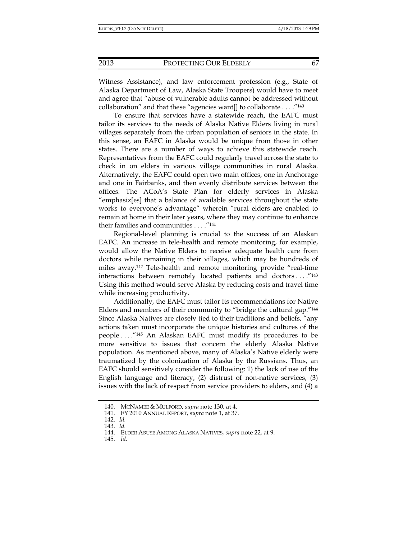and agree that "abuse of vulnerable adults cannot be addressed without

Witness Assistance), and law enforcement profession (e.g., State of Alaska Department of Law, Alaska State Troopers) would have to meet

collaboration" and that these "agencies want[] to collaborate . . . ."140 To ensure that services have a statewide reach, the EAFC must tailor its services to the needs of Alaska Native Elders living in rural villages separately from the urban population of seniors in the state. In this sense, an EAFC in Alaska would be unique from those in other states. There are a number of ways to achieve this statewide reach. Representatives from the EAFC could regularly travel across the state to check in on elders in various village communities in rural Alaska. Alternatively, the EAFC could open two main offices, one in Anchorage and one in Fairbanks, and then evenly distribute services between the offices. The ACoA's State Plan for elderly services in Alaska "emphasiz[es] that a balance of available services throughout the state works to everyone's advantage" wherein "rural elders are enabled to remain at home in their later years, where they may continue to enhance their families and communities . . . ."141

Regional-level planning is crucial to the success of an Alaskan EAFC. An increase in tele-health and remote monitoring, for example, would allow the Native Elders to receive adequate health care from doctors while remaining in their villages, which may be hundreds of miles away.142 Tele-health and remote monitoring provide "real-time interactions between remotely located patients and doctors . . . ."143 Using this method would serve Alaska by reducing costs and travel time while increasing productivity.

Additionally, the EAFC must tailor its recommendations for Native Elders and members of their community to "bridge the cultural gap."144 Since Alaska Natives are closely tied to their traditions and beliefs, "any actions taken must incorporate the unique histories and cultures of the people . . . ."145 An Alaskan EAFC must modify its procedures to be more sensitive to issues that concern the elderly Alaska Native population. As mentioned above, many of Alaska's Native elderly were traumatized by the colonization of Alaska by the Russians. Thus, an EAFC should sensitively consider the following: 1) the lack of use of the English language and literacy, (2) distrust of non-native services, (3) issues with the lack of respect from service providers to elders, and (4) a

145. *Id.* 

 <sup>140.</sup> MCNAMEE & MULFORD, *supra* note 130, at 4.

 <sup>141.</sup> FY 2010 ANNUAL REPORT, *supra* note 1, at 37.

 <sup>142.</sup> *Id.*

 <sup>143.</sup> *Id.*

 <sup>144.</sup> ELDER ABUSE AMONG ALASKA NATIVES, *supra* note 22, at 9.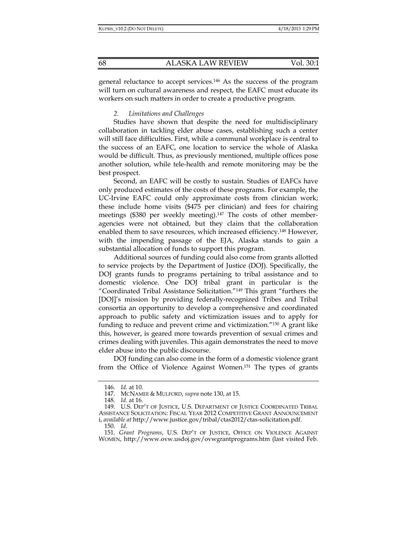general reluctance to accept services.146 As the success of the program will turn on cultural awareness and respect, the EAFC must educate its workers on such matters in order to create a productive program.

#### *2. Limitations and Challenges*

Studies have shown that despite the need for multidisciplinary collaboration in tackling elder abuse cases, establishing such a center will still face difficulties. First, while a communal workplace is central to the success of an EAFC, one location to service the whole of Alaska would be difficult. Thus, as previously mentioned, multiple offices pose another solution, while tele-health and remote monitoring may be the best prospect.

Second, an EAFC will be costly to sustain. Studies of EAFCs have only produced estimates of the costs of these programs. For example, the UC-Irvine EAFC could only approximate costs from clinician work; these include home visits (\$475 per clinician) and fees for chairing meetings (\$380 per weekly meeting).147 The costs of other memberagencies were not obtained, but they claim that the collaboration enabled them to save resources, which increased efficiency.<sup>148</sup> However, with the impending passage of the EJA, Alaska stands to gain a substantial allocation of funds to support this program.

Additional sources of funding could also come from grants allotted to service projects by the Department of Justice (DOJ). Specifically, the DOJ grants funds to programs pertaining to tribal assistance and to domestic violence. One DOJ tribal grant in particular is the "Coordinated Tribal Assistance Solicitation."149 This grant "furthers the [DOJ]'s mission by providing federally-recognized Tribes and Tribal consortia an opportunity to develop a comprehensive and coordinated approach to public safety and victimization issues and to apply for funding to reduce and prevent crime and victimization."150 A grant like this, however, is geared more towards prevention of sexual crimes and crimes dealing with juveniles. This again demonstrates the need to move elder abuse into the public discourse.

DOJ funding can also come in the form of a domestic violence grant from the Office of Violence Against Women.151 The types of grants

150. *Id.*

 <sup>146.</sup> *Id.* at 10.

 <sup>147.</sup> MCNAMEE & MULFORD, *supra* note 130, at 15.

 <sup>148.</sup> *Id.* at 16.

 <sup>149.</sup> U.S. DEP'T OF JUSTICE, U.S. DEPARTMENT OF JUSTICE COORDINATED TRIBAL ASSISTANCE SOLICITATION: FISCAL YEAR 2012 COMPETITIVE GRANT ANNOUNCEMENT i, *available at* http://www.justice.gov/tribal/ctas2012/ctas-solicitation.pdf.

 <sup>151.</sup> *Grant Programs*, U.S. DEP'T OF JUSTICE, OFFICE ON VIOLENCE AGAINST WOMEN, http://www.ovw.usdoj.gov/ovwgrantprograms.htm (last visited Feb.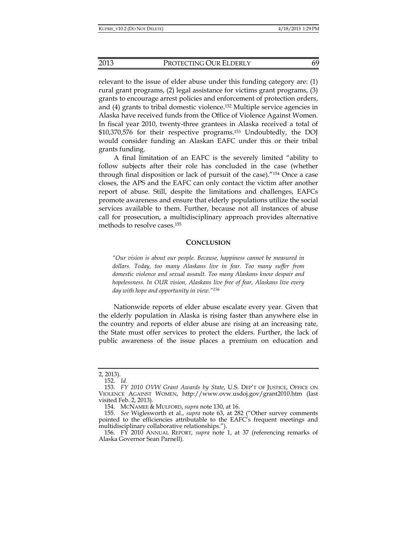relevant to the issue of elder abuse under this funding category are: (1) rural grant programs, (2) legal assistance for victims grant programs, (3) grants to encourage arrest policies and enforcement of protection orders, and (4) grants to tribal domestic violence.152 Multiple service agencies in Alaska have received funds from the Office of Violence Against Women. In fiscal year 2010, twenty-three grantees in Alaska received a total of \$10,370,576 for their respective programs.153 Undoubtedly, the DOJ would consider funding an Alaskan EAFC under this or their tribal grants funding.

A final limitation of an EAFC is the severely limited "ability to follow subjects after their role has concluded in the case (whether through final disposition or lack of pursuit of the case)."154 Once a case closes, the APS and the EAFC can only contact the victim after another report of abuse. Still, despite the limitations and challenges, EAFCs promote awareness and ensure that elderly populations utilize the social services available to them. Further, because not all instances of abuse call for prosecution, a multidisciplinary approach provides alternative methods to resolve cases.155

#### **CONCLUSION**

*"Our vision is about our people. Because, happiness cannot be measured in dollars. Today, too many Alaskans live in fear. Too many suffer from domestic violence and sexual assault. Too many Alaskans know despair and hopelessness. In OUR vision, Alaskans live free of fear, Alaskans live every day with hope and opportunity in view."156*

Nationwide reports of elder abuse escalate every year. Given that the elderly population in Alaska is rising faster than anywhere else in the country and reports of elder abuse are rising at an increasing rate, the State must offer services to protect the elders. Further, the lack of public awareness of the issue places a premium on education and

<sup>2, 2013).</sup> 

 <sup>152.</sup> *Id.*

 <sup>153.</sup> *FY 2010 OVW Grant Awards by State*, U.S. DEP'T OF JUSTICE, OFFICE ON VIOLENCE AGAINST WOMEN, http://www.ovw.usdoj.gov/grant2010.htm (last visited Feb. 2, 2013).

 <sup>154.</sup> MCNAMEE & MULFORD, *supra* note 130, at 16.

 <sup>155.</sup> *See* Wiglesworth et al., *supra* note 63, at 282 ("Other survey comments pointed to the efficiencies attributable to the EAFC's frequent meetings and multidisciplinary collaborative relationships.").

 <sup>156.</sup> FY 2010 ANNUAL REPORT, *supra* note 1, at 37 (referencing remarks of Alaska Governor Sean Parnell).